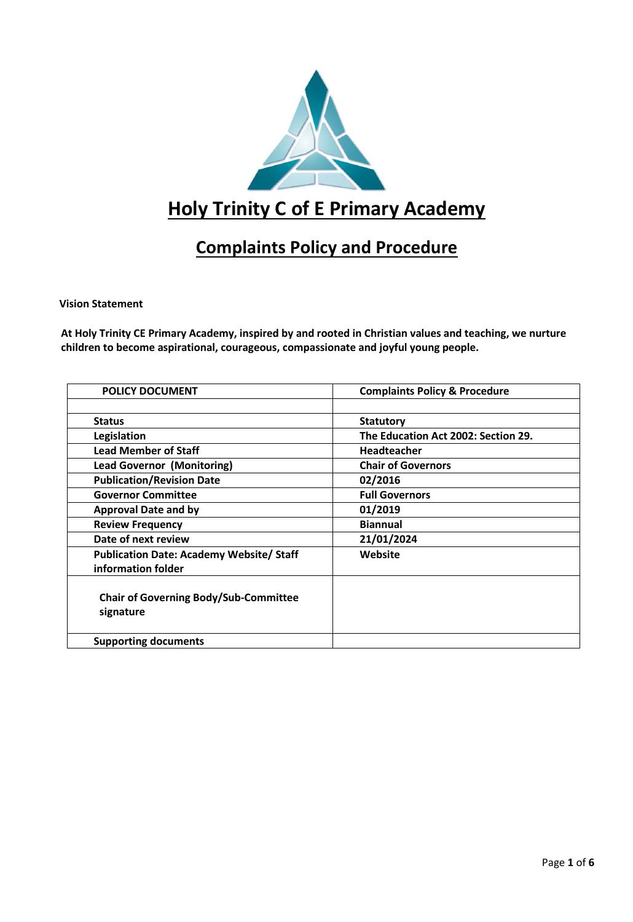

# **Holy Trinity C of E Primary Academy**

# **Complaints Policy and Procedure**

**Vision Statement**

**At Holy Trinity CE Primary Academy, inspired by and rooted in Christian values and teaching, we nurture children to become aspirational, courageous, compassionate and joyful young people.**

| <b>POLICY DOCUMENT</b>                          | <b>Complaints Policy &amp; Procedure</b> |
|-------------------------------------------------|------------------------------------------|
|                                                 |                                          |
| <b>Status</b>                                   | <b>Statutory</b>                         |
| Legislation                                     | The Education Act 2002: Section 29.      |
| <b>Lead Member of Staff</b>                     | Headteacher                              |
| <b>Lead Governor (Monitoring)</b>               | <b>Chair of Governors</b>                |
| <b>Publication/Revision Date</b>                | 02/2016                                  |
| <b>Governor Committee</b>                       | <b>Full Governors</b>                    |
| <b>Approval Date and by</b>                     | 01/2019                                  |
| <b>Review Frequency</b>                         | <b>Biannual</b>                          |
| Date of next review                             | 21/01/2024                               |
| <b>Publication Date: Academy Website/ Staff</b> | Website                                  |
| information folder                              |                                          |
|                                                 |                                          |
| <b>Chair of Governing Body/Sub-Committee</b>    |                                          |
| signature                                       |                                          |
|                                                 |                                          |
| <b>Supporting documents</b>                     |                                          |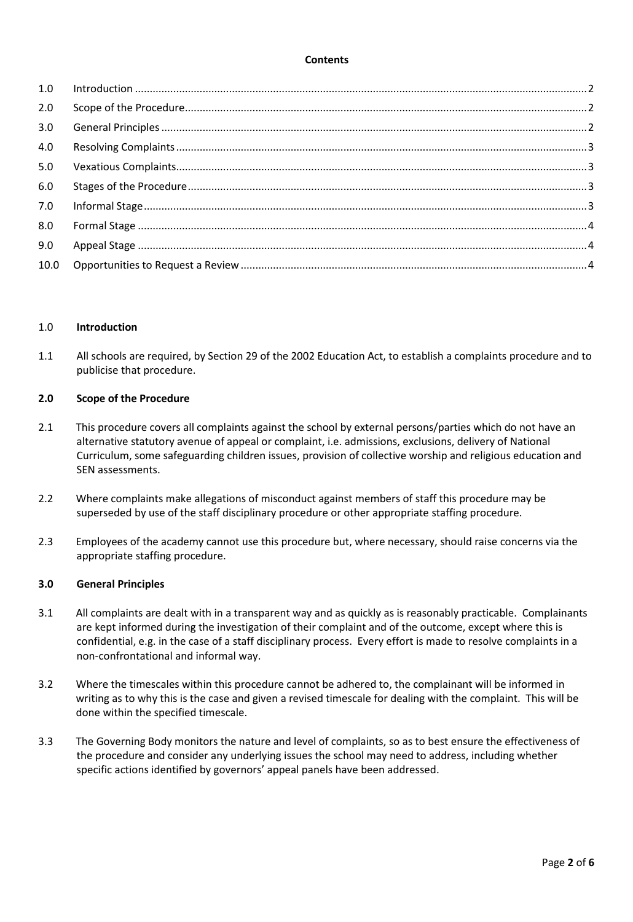#### **Contents**

| 1.0 |  |
|-----|--|
| 2.0 |  |
| 3.0 |  |
| 4.0 |  |
| 5.0 |  |
| 6.0 |  |
| 7.0 |  |
| 8.0 |  |
| 9.0 |  |
|     |  |
|     |  |

# <span id="page-1-0"></span>1.0 **Introduction**

1.1 All schools are required, by Section 29 of the 2002 Education Act, to establish a complaints procedure and to publicise that procedure.

#### <span id="page-1-1"></span>**2.0 Scope of the Procedure**

- 2.1 This procedure covers all complaints against the school by external persons/parties which do not have an alternative statutory avenue of appeal or complaint, i.e. admissions, exclusions, delivery of National Curriculum, some safeguarding children issues, provision of collective worship and religious education and SEN assessments.
- 2.2 Where complaints make allegations of misconduct against members of staff this procedure may be superseded by use of the staff disciplinary procedure or other appropriate staffing procedure.
- 2.3 Employees of the academy cannot use this procedure but, where necessary, should raise concerns via the appropriate staffing procedure.

#### <span id="page-1-2"></span>**3.0 General Principles**

- 3.1 All complaints are dealt with in a transparent way and as quickly as is reasonably practicable. Complainants are kept informed during the investigation of their complaint and of the outcome, except where this is confidential, e.g. in the case of a staff disciplinary process. Every effort is made to resolve complaints in a non-confrontational and informal way.
- 3.2 Where the timescales within this procedure cannot be adhered to, the complainant will be informed in writing as to why this is the case and given a revised timescale for dealing with the complaint. This will be done within the specified timescale.
- 3.3 The Governing Body monitors the nature and level of complaints, so as to best ensure the effectiveness of the procedure and consider any underlying issues the school may need to address, including whether specific actions identified by governors' appeal panels have been addressed.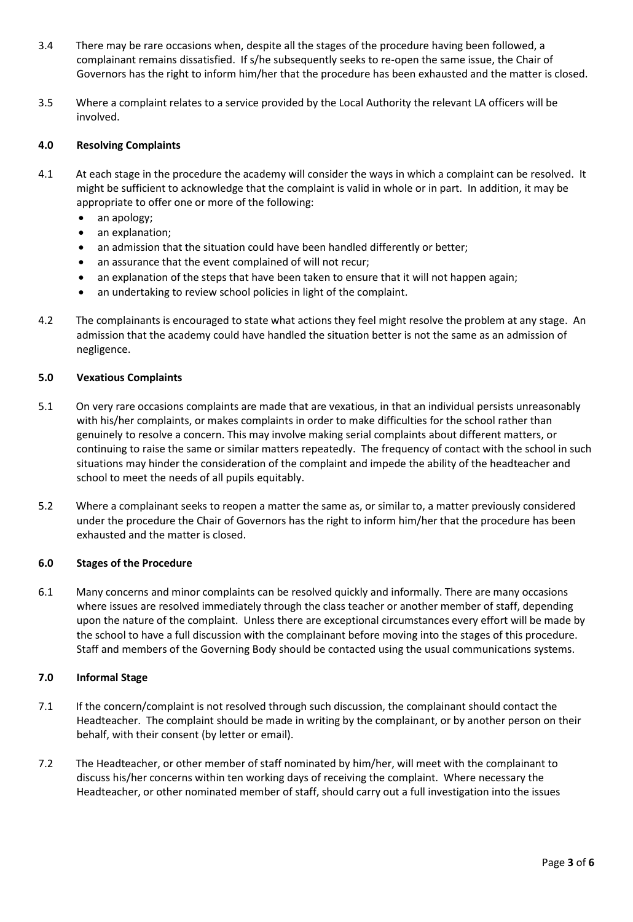- 3.4 There may be rare occasions when, despite all the stages of the procedure having been followed, a complainant remains dissatisfied. If s/he subsequently seeks to re-open the same issue, the Chair of Governors has the right to inform him/her that the procedure has been exhausted and the matter is closed.
- 3.5 Where a complaint relates to a service provided by the Local Authority the relevant LA officers will be involved.

# <span id="page-2-0"></span>**4.0 Resolving Complaints**

- 4.1 At each stage in the procedure the academy will consider the ways in which a complaint can be resolved. It might be sufficient to acknowledge that the complaint is valid in whole or in part. In addition, it may be appropriate to offer one or more of the following:
	- an apology;
	- an explanation;
	- an admission that the situation could have been handled differently or better;
	- an assurance that the event complained of will not recur;
	- an explanation of the steps that have been taken to ensure that it will not happen again;
	- an undertaking to review school policies in light of the complaint.
- 4.2 The complainants is encouraged to state what actions they feel might resolve the problem at any stage. An admission that the academy could have handled the situation better is not the same as an admission of negligence.

# <span id="page-2-1"></span>**5.0 Vexatious Complaints**

- 5.1 On very rare occasions complaints are made that are vexatious, in that an individual persists unreasonably with his/her complaints, or makes complaints in order to make difficulties for the school rather than genuinely to resolve a concern. This may involve making serial complaints about different matters, or continuing to raise the same or similar matters repeatedly. The frequency of contact with the school in such situations may hinder the consideration of the complaint and impede the ability of the headteacher and school to meet the needs of all pupils equitably.
- 5.2 Where a complainant seeks to reopen a matter the same as, or similar to, a matter previously considered under the procedure the Chair of Governors has the right to inform him/her that the procedure has been exhausted and the matter is closed.

#### <span id="page-2-2"></span>**6.0 Stages of the Procedure**

6.1 Many concerns and minor complaints can be resolved quickly and informally. There are many occasions where issues are resolved immediately through the class teacher or another member of staff, depending upon the nature of the complaint. Unless there are exceptional circumstances every effort will be made by the school to have a full discussion with the complainant before moving into the stages of this procedure. Staff and members of the Governing Body should be contacted using the usual communications systems.

# <span id="page-2-3"></span>**7.0 Informal Stage**

- 7.1 If the concern/complaint is not resolved through such discussion, the complainant should contact the Headteacher. The complaint should be made in writing by the complainant, or by another person on their behalf, with their consent (by letter or email).
- 7.2 The Headteacher, or other member of staff nominated by him/her, will meet with the complainant to discuss his/her concerns within ten working days of receiving the complaint. Where necessary the Headteacher, or other nominated member of staff, should carry out a full investigation into the issues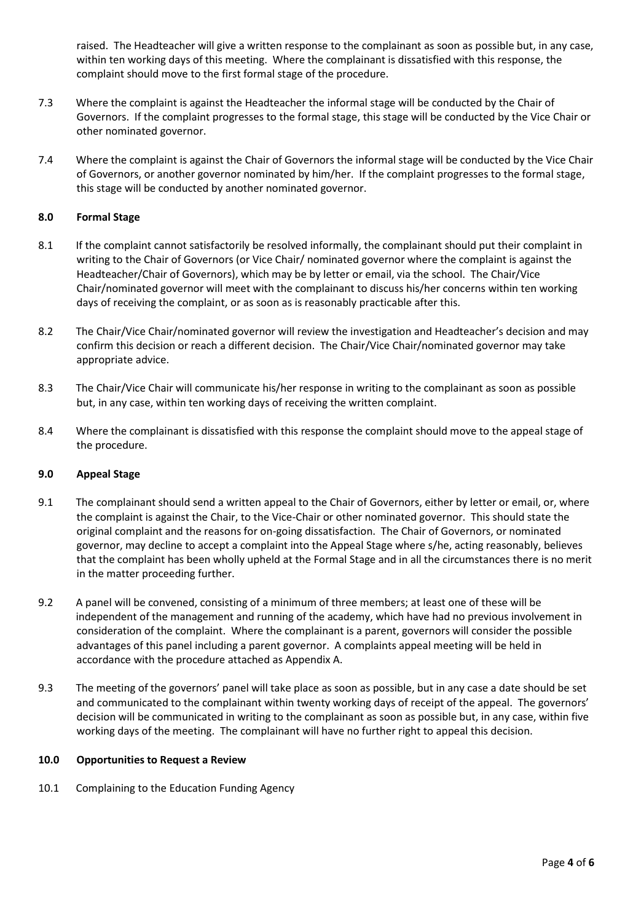raised. The Headteacher will give a written response to the complainant as soon as possible but, in any case, within ten working days of this meeting. Where the complainant is dissatisfied with this response, the complaint should move to the first formal stage of the procedure.

- 7.3 Where the complaint is against the Headteacher the informal stage will be conducted by the Chair of Governors. If the complaint progresses to the formal stage, this stage will be conducted by the Vice Chair or other nominated governor.
- 7.4 Where the complaint is against the Chair of Governors the informal stage will be conducted by the Vice Chair of Governors, or another governor nominated by him/her. If the complaint progresses to the formal stage, this stage will be conducted by another nominated governor.

# <span id="page-3-0"></span>**8.0 Formal Stage**

- 8.1 If the complaint cannot satisfactorily be resolved informally, the complainant should put their complaint in writing to the Chair of Governors (or Vice Chair/ nominated governor where the complaint is against the Headteacher/Chair of Governors), which may be by letter or email, via the school. The Chair/Vice Chair/nominated governor will meet with the complainant to discuss his/her concerns within ten working days of receiving the complaint, or as soon as is reasonably practicable after this.
- 8.2 The Chair/Vice Chair/nominated governor will review the investigation and Headteacher's decision and may confirm this decision or reach a different decision. The Chair/Vice Chair/nominated governor may take appropriate advice.
- 8.3 The Chair/Vice Chair will communicate his/her response in writing to the complainant as soon as possible but, in any case, within ten working days of receiving the written complaint.
- 8.4 Where the complainant is dissatisfied with this response the complaint should move to the appeal stage of the procedure.

#### <span id="page-3-1"></span>**9.0 Appeal Stage**

- 9.1 The complainant should send a written appeal to the Chair of Governors, either by letter or email, or, where the complaint is against the Chair, to the Vice-Chair or other nominated governor. This should state the original complaint and the reasons for on-going dissatisfaction. The Chair of Governors, or nominated governor, may decline to accept a complaint into the Appeal Stage where s/he, acting reasonably, believes that the complaint has been wholly upheld at the Formal Stage and in all the circumstances there is no merit in the matter proceeding further.
- 9.2 A panel will be convened, consisting of a minimum of three members; at least one of these will be independent of the management and running of the academy, which have had no previous involvement in consideration of the complaint. Where the complainant is a parent, governors will consider the possible advantages of this panel including a parent governor. A complaints appeal meeting will be held in accordance with the procedure attached as Appendix A.
- 9.3 The meeting of the governors' panel will take place as soon as possible, but in any case a date should be set and communicated to the complainant within twenty working days of receipt of the appeal. The governors' decision will be communicated in writing to the complainant as soon as possible but, in any case, within five working days of the meeting. The complainant will have no further right to appeal this decision.

#### <span id="page-3-2"></span>**10.0 Opportunities to Request a Review**

10.1 Complaining to the Education Funding Agency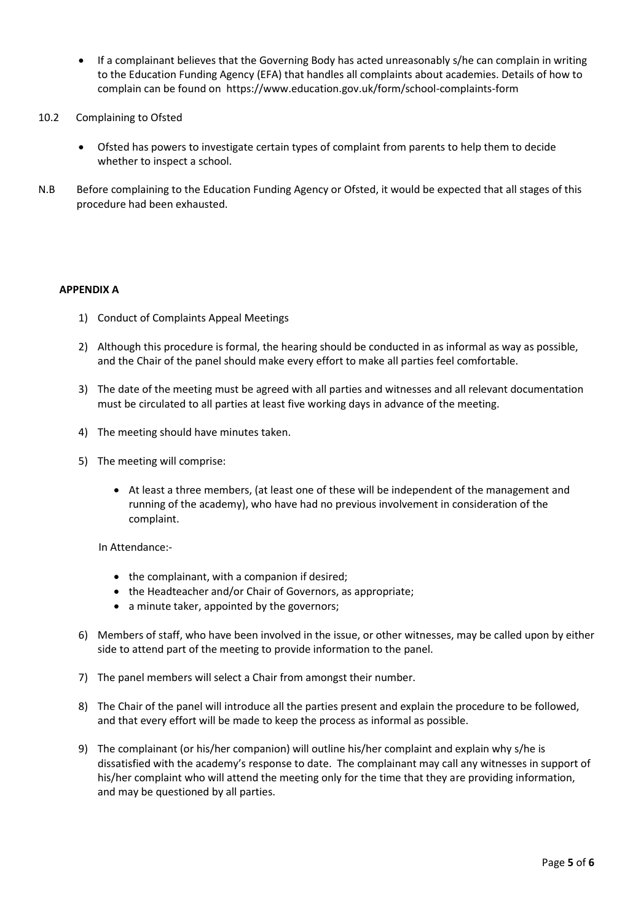- If a complainant believes that the Governing Body has acted unreasonably s/he can complain in writing to the Education Funding Agency (EFA) that handles all complaints about academies. Details of how to complain can be found on https://www.education.gov.uk/form/school-complaints-form
- 10.2 Complaining to Ofsted
	- Ofsted has powers to investigate certain types of complaint from parents to help them to decide whether to inspect a school.
- N.B Before complaining to the Education Funding Agency or Ofsted, it would be expected that all stages of this procedure had been exhausted.

# **APPENDIX A**

- 1) Conduct of Complaints Appeal Meetings
- 2) Although this procedure is formal, the hearing should be conducted in as informal as way as possible, and the Chair of the panel should make every effort to make all parties feel comfortable.
- 3) The date of the meeting must be agreed with all parties and witnesses and all relevant documentation must be circulated to all parties at least five working days in advance of the meeting.
- 4) The meeting should have minutes taken.
- 5) The meeting will comprise:
	- At least a three members, (at least one of these will be independent of the management and running of the academy), who have had no previous involvement in consideration of the complaint.

In Attendance:-

- the complainant, with a companion if desired;
- the Headteacher and/or Chair of Governors, as appropriate;
- a minute taker, appointed by the governors;
- 6) Members of staff, who have been involved in the issue, or other witnesses, may be called upon by either side to attend part of the meeting to provide information to the panel.
- 7) The panel members will select a Chair from amongst their number.
- 8) The Chair of the panel will introduce all the parties present and explain the procedure to be followed, and that every effort will be made to keep the process as informal as possible.
- 9) The complainant (or his/her companion) will outline his/her complaint and explain why s/he is dissatisfied with the academy's response to date. The complainant may call any witnesses in support of his/her complaint who will attend the meeting only for the time that they are providing information, and may be questioned by all parties.